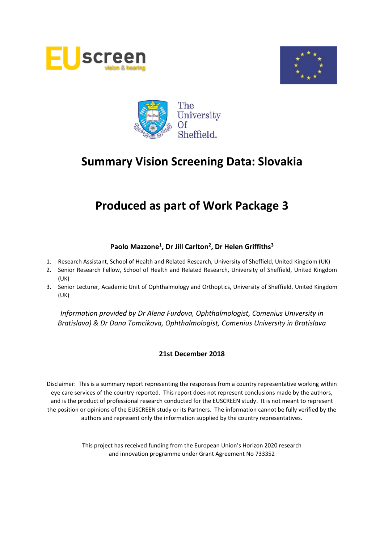





# **Produced as part of Work Package 3**

# **Paolo Mazzone<sup>1</sup> , Dr Jill Carlton<sup>2</sup> , Dr Helen Griffiths<sup>3</sup>**

- 1. Research Assistant, School of Health and Related Research, University of Sheffield, United Kingdom (UK)
- 2. Senior Research Fellow, School of Health and Related Research, University of Sheffield, United Kingdom (UK)
- 3. Senior Lecturer, Academic Unit of Ophthalmology and Orthoptics, University of Sheffield, United Kingdom (UK)

*Information provided by Dr Alena Furdova, Ophthalmologist, Comenius University in Bratislava) & Dr Dana Tomcikova, Ophthalmologist, Comenius University in Bratislava*

## **21st December 2018**

Disclaimer: This is a summary report representing the responses from a country representative working within eye care services of the country reported. This report does not represent conclusions made by the authors, and is the product of professional research conducted for the EUSCREEN study. It is not meant to represent the position or opinions of the EUSCREEN study or its Partners. The information cannot be fully verified by the authors and represent only the information supplied by the country representatives.

> This project has received funding from the European Union's Horizon 2020 research and innovation programme under Grant Agreement No 733352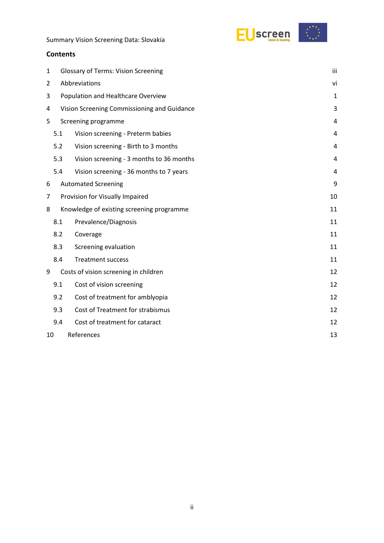

## **Contents**

| 1              | iii<br><b>Glossary of Terms: Vision Screening</b> |                                           |    |  |  |  |
|----------------|---------------------------------------------------|-------------------------------------------|----|--|--|--|
| $\overline{2}$ | Abbreviations                                     |                                           |    |  |  |  |
| 3              | Population and Healthcare Overview                |                                           |    |  |  |  |
| 4              | Vision Screening Commissioning and Guidance       |                                           |    |  |  |  |
| 5              |                                                   | Screening programme                       | 4  |  |  |  |
|                | 5.1                                               | Vision screening - Preterm babies         | 4  |  |  |  |
|                | 5.2                                               | Vision screening - Birth to 3 months      | 4  |  |  |  |
|                | 5.3                                               | Vision screening - 3 months to 36 months  | 4  |  |  |  |
|                | 5.4                                               | Vision screening - 36 months to 7 years   | 4  |  |  |  |
| 6              |                                                   | <b>Automated Screening</b>                | 9  |  |  |  |
| 7              | Provision for Visually Impaired                   |                                           |    |  |  |  |
| 8              |                                                   | Knowledge of existing screening programme | 11 |  |  |  |
|                | 8.1                                               | Prevalence/Diagnosis                      | 11 |  |  |  |
|                | 8.2                                               | Coverage                                  | 11 |  |  |  |
|                | 8.3                                               | Screening evaluation                      | 11 |  |  |  |
|                | 8.4                                               | <b>Treatment success</b>                  | 11 |  |  |  |
| 9              |                                                   | Costs of vision screening in children     | 12 |  |  |  |
|                | 9.1                                               | Cost of vision screening                  | 12 |  |  |  |
|                | 9.2                                               | Cost of treatment for amblyopia           | 12 |  |  |  |
|                | 9.3                                               | Cost of Treatment for strabismus          | 12 |  |  |  |
|                | 9.4                                               | Cost of treatment for cataract            | 12 |  |  |  |
| 10             |                                                   | References                                | 13 |  |  |  |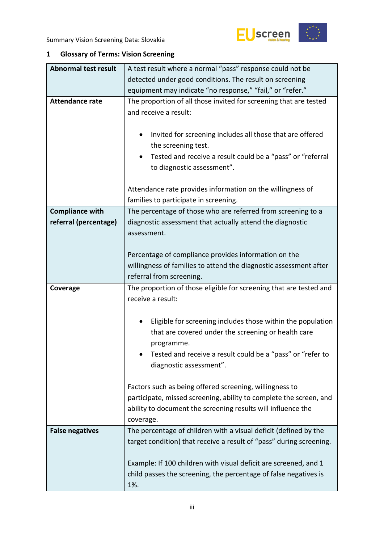

# <span id="page-2-0"></span>**1 Glossary of Terms: Vision Screening**

| <b>Abnormal test result</b> | A test result where a normal "pass" response could not be                                                                                                                                                                      |  |  |  |  |
|-----------------------------|--------------------------------------------------------------------------------------------------------------------------------------------------------------------------------------------------------------------------------|--|--|--|--|
|                             | detected under good conditions. The result on screening                                                                                                                                                                        |  |  |  |  |
|                             | equipment may indicate "no response," "fail," or "refer."                                                                                                                                                                      |  |  |  |  |
| <b>Attendance rate</b>      | The proportion of all those invited for screening that are tested<br>and receive a result:                                                                                                                                     |  |  |  |  |
|                             | Invited for screening includes all those that are offered<br>٠<br>the screening test.<br>Tested and receive a result could be a "pass" or "referral<br>٠<br>to diagnostic assessment".                                         |  |  |  |  |
|                             | Attendance rate provides information on the willingness of<br>families to participate in screening.                                                                                                                            |  |  |  |  |
| <b>Compliance with</b>      | The percentage of those who are referred from screening to a                                                                                                                                                                   |  |  |  |  |
| referral (percentage)       | diagnostic assessment that actually attend the diagnostic                                                                                                                                                                      |  |  |  |  |
|                             | assessment.                                                                                                                                                                                                                    |  |  |  |  |
|                             |                                                                                                                                                                                                                                |  |  |  |  |
|                             | Percentage of compliance provides information on the                                                                                                                                                                           |  |  |  |  |
|                             | willingness of families to attend the diagnostic assessment after                                                                                                                                                              |  |  |  |  |
|                             | referral from screening.                                                                                                                                                                                                       |  |  |  |  |
| Coverage                    | The proportion of those eligible for screening that are tested and                                                                                                                                                             |  |  |  |  |
|                             | receive a result:                                                                                                                                                                                                              |  |  |  |  |
|                             |                                                                                                                                                                                                                                |  |  |  |  |
|                             | Eligible for screening includes those within the population<br>٠<br>that are covered under the screening or health care<br>programme.<br>Tested and receive a result could be a "pass" or "refer to<br>diagnostic assessment". |  |  |  |  |
|                             | Factors such as being offered screening, willingness to<br>participate, missed screening, ability to complete the screen, and<br>ability to document the screening results will influence the<br>coverage.                     |  |  |  |  |
| <b>False negatives</b>      |                                                                                                                                                                                                                                |  |  |  |  |
|                             | The percentage of children with a visual deficit (defined by the<br>target condition) that receive a result of "pass" during screening.                                                                                        |  |  |  |  |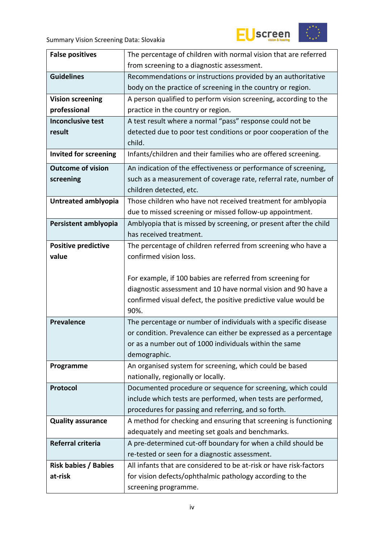



| <b>False positives</b>       | The percentage of children with normal vision that are referred    |  |  |  |
|------------------------------|--------------------------------------------------------------------|--|--|--|
|                              | from screening to a diagnostic assessment.                         |  |  |  |
| <b>Guidelines</b>            | Recommendations or instructions provided by an authoritative       |  |  |  |
|                              | body on the practice of screening in the country or region.        |  |  |  |
| <b>Vision screening</b>      | A person qualified to perform vision screening, according to the   |  |  |  |
| professional                 | practice in the country or region.                                 |  |  |  |
| <b>Inconclusive test</b>     | A test result where a normal "pass" response could not be          |  |  |  |
| result                       | detected due to poor test conditions or poor cooperation of the    |  |  |  |
|                              | child.                                                             |  |  |  |
| <b>Invited for screening</b> | Infants/children and their families who are offered screening.     |  |  |  |
| <b>Outcome of vision</b>     | An indication of the effectiveness or performance of screening,    |  |  |  |
| screening                    | such as a measurement of coverage rate, referral rate, number of   |  |  |  |
|                              | children detected, etc.                                            |  |  |  |
| Untreated amblyopia          | Those children who have not received treatment for amblyopia       |  |  |  |
|                              | due to missed screening or missed follow-up appointment.           |  |  |  |
| Persistent amblyopia         | Amblyopia that is missed by screening, or present after the child  |  |  |  |
|                              | has received treatment.                                            |  |  |  |
| <b>Positive predictive</b>   | The percentage of children referred from screening who have a      |  |  |  |
| value                        | confirmed vision loss.                                             |  |  |  |
|                              |                                                                    |  |  |  |
|                              | For example, if 100 babies are referred from screening for         |  |  |  |
|                              | diagnostic assessment and 10 have normal vision and 90 have a      |  |  |  |
|                              | confirmed visual defect, the positive predictive value would be    |  |  |  |
|                              | 90%.                                                               |  |  |  |
| <b>Prevalence</b>            | The percentage or number of individuals with a specific disease    |  |  |  |
|                              | or condition. Prevalence can either be expressed as a percentage   |  |  |  |
|                              | or as a number out of 1000 individuals within the same             |  |  |  |
|                              | demographic.                                                       |  |  |  |
| Programme                    | An organised system for screening, which could be based            |  |  |  |
|                              | nationally, regionally or locally.                                 |  |  |  |
| Protocol                     | Documented procedure or sequence for screening, which could        |  |  |  |
|                              | include which tests are performed, when tests are performed,       |  |  |  |
|                              | procedures for passing and referring, and so forth.                |  |  |  |
| <b>Quality assurance</b>     | A method for checking and ensuring that screening is functioning   |  |  |  |
|                              | adequately and meeting set goals and benchmarks.                   |  |  |  |
| Referral criteria            | A pre-determined cut-off boundary for when a child should be       |  |  |  |
|                              |                                                                    |  |  |  |
|                              | re-tested or seen for a diagnostic assessment.                     |  |  |  |
| <b>Risk babies / Babies</b>  | All infants that are considered to be at-risk or have risk-factors |  |  |  |
| at-risk                      | for vision defects/ophthalmic pathology according to the           |  |  |  |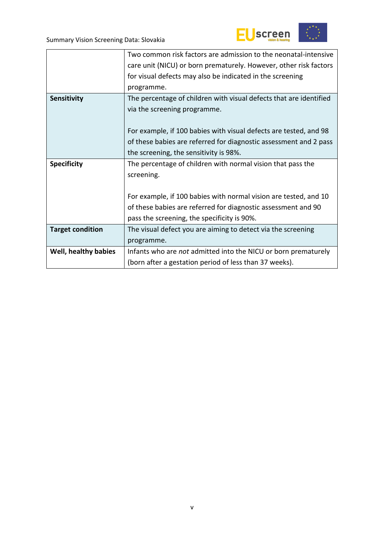



|                         | Two common risk factors are admission to the neonatal-intensive    |
|-------------------------|--------------------------------------------------------------------|
|                         | care unit (NICU) or born prematurely. However, other risk factors  |
|                         | for visual defects may also be indicated in the screening          |
|                         | programme.                                                         |
| Sensitivity             | The percentage of children with visual defects that are identified |
|                         | via the screening programme.                                       |
|                         |                                                                    |
|                         | For example, if 100 babies with visual defects are tested, and 98  |
|                         | of these babies are referred for diagnostic assessment and 2 pass  |
|                         | the screening, the sensitivity is 98%.                             |
| <b>Specificity</b>      | The percentage of children with normal vision that pass the        |
|                         | screening.                                                         |
|                         |                                                                    |
|                         | For example, if 100 babies with normal vision are tested, and 10   |
|                         | of these babies are referred for diagnostic assessment and 90      |
|                         | pass the screening, the specificity is 90%.                        |
| <b>Target condition</b> | The visual defect you are aiming to detect via the screening       |
|                         | programme.                                                         |
| Well, healthy babies    | Infants who are not admitted into the NICU or born prematurely     |
|                         | (born after a gestation period of less than 37 weeks).             |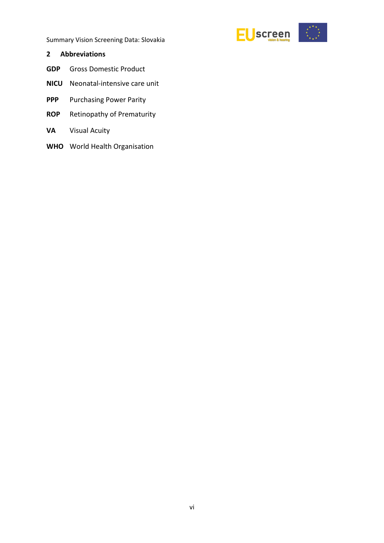

#### <span id="page-5-0"></span>**2 Abbreviations**

- **GDP** Gross Domestic Product
- **NICU** Neonatal-intensive care unit
- **PPP** Purchasing Power Parity
- **ROP** Retinopathy of Prematurity
- **VA** Visual Acuity
- **WHO** World Health Organisation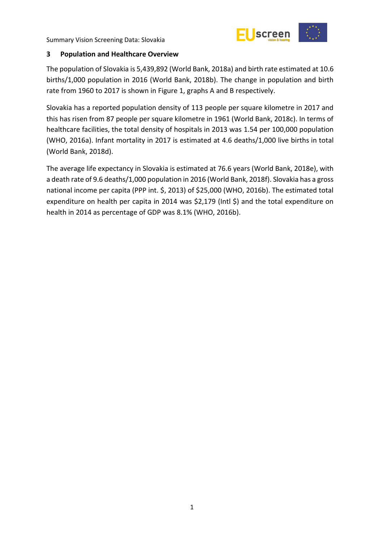

## <span id="page-6-0"></span>**3 Population and Healthcare Overview**

The population of Slovakia is 5,439,892 (World Bank, 2018a) and birth rate estimated at 10.6 births/1,000 population in 2016 (World Bank, 2018b). The change in population and birth rate from 1960 to 2017 is shown in Figure 1, graphs A and B respectively.

Slovakia has a reported population density of 113 people per square kilometre in 2017 and this has risen from 87 people per square kilometre in 1961 (World Bank, 2018c). In terms of healthcare facilities, the total density of hospitals in 2013 was 1.54 per 100,000 population (WHO, 2016a). Infant mortality in 2017 is estimated at 4.6 deaths/1,000 live births in total (World Bank, 2018d).

The average life expectancy in Slovakia is estimated at 76.6 years (World Bank, 2018e), with a death rate of 9.6 deaths/1,000 population in 2016 (World Bank, 2018f). Slovakia has a gross national income per capita (PPP int. \$, 2013) of \$25,000 (WHO, 2016b). The estimated total expenditure on health per capita in 2014 was \$2,179 (Intl \$) and the total expenditure on health in 2014 as percentage of GDP was 8.1% (WHO, 2016b).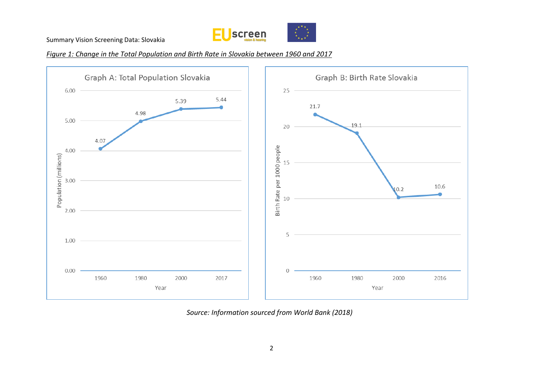

*Figure 1: Change in the Total Population and Birth Rate in Slovakia between 1960 and 2017*



*Source: Information sourced from World Bank (2018)*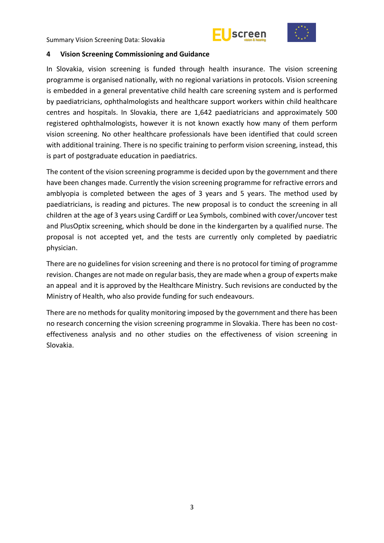



#### <span id="page-8-0"></span>**4 Vision Screening Commissioning and Guidance**

In Slovakia, vision screening is funded through health insurance. The vision screening programme is organised nationally, with no regional variations in protocols. Vision screening is embedded in a general preventative child health care screening system and is performed by paediatricians, ophthalmologists and healthcare support workers within child healthcare centres and hospitals. In Slovakia, there are 1,642 paediatricians and approximately 500 registered ophthalmologists, however it is not known exactly how many of them perform vision screening. No other healthcare professionals have been identified that could screen with additional training. There is no specific training to perform vision screening, instead, this is part of postgraduate education in paediatrics.

The content of the vision screening programme is decided upon by the government and there have been changes made. Currently the vision screening programme for refractive errors and amblyopia is completed between the ages of 3 years and 5 years. The method used by paediatricians, is reading and pictures. The new proposal is to conduct the screening in all children at the age of 3 years using Cardiff or Lea Symbols, combined with cover/uncover test and PlusOptix screening, which should be done in the kindergarten by a qualified nurse. The proposal is not accepted yet, and the tests are currently only completed by paediatric physician.

There are no guidelines for vision screening and there is no protocol for timing of programme revision. Changes are not made on regular basis, they are made when a group of experts make an appeal and it is approved by the Healthcare Ministry. Such revisions are conducted by the Ministry of Health, who also provide funding for such endeavours.

There are no methods for quality monitoring imposed by the government and there has been no research concerning the vision screening programme in Slovakia. There has been no costeffectiveness analysis and no other studies on the effectiveness of vision screening in Slovakia.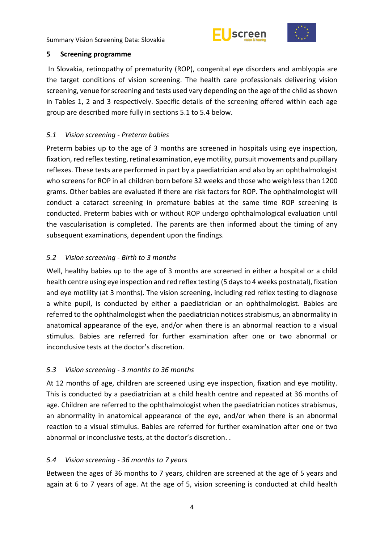



## <span id="page-9-0"></span>**5 Screening programme**

In Slovakia, retinopathy of prematurity (ROP), congenital eye disorders and amblyopia are the target conditions of vision screening. The health care professionals delivering vision screening, venue for screening and tests used vary depending on the age of the child as shown in Tables 1, 2 and 3 respectively. Specific details of the screening offered within each age group are described more fully in sections 5.1 to 5.4 below.

# <span id="page-9-1"></span>*5.1 Vision screening - Preterm babies*

Preterm babies up to the age of 3 months are screened in hospitals using eye inspection, fixation, red reflex testing, retinal examination, eye motility, pursuit movements and pupillary reflexes. These tests are performed in part by a paediatrician and also by an ophthalmologist who screens for ROP in all children born before 32 weeks and those who weigh less than 1200 grams. Other babies are evaluated if there are risk factors for ROP. The ophthalmologist will conduct a cataract screening in premature babies at the same time ROP screening is conducted. Preterm babies with or without ROP undergo ophthalmological evaluation until the vascularisation is completed. The parents are then informed about the timing of any subsequent examinations, dependent upon the findings.

# <span id="page-9-2"></span>*5.2 Vision screening - Birth to 3 months*

Well, healthy babies up to the age of 3 months are screened in either a hospital or a child health centre using eye inspection and red reflex testing (5 days to 4 weeks postnatal), fixation and eye motility (at 3 months). The vision screening, including red reflex testing to diagnose a white pupil, is conducted by either a paediatrician or an ophthalmologist. Babies are referred to the ophthalmologist when the paediatrician notices strabismus, an abnormality in anatomical appearance of the eye, and/or when there is an abnormal reaction to a visual stimulus. Babies are referred for further examination after one or two abnormal or inconclusive tests at the doctor's discretion.

# <span id="page-9-3"></span>*5.3 Vision screening - 3 months to 36 months*

At 12 months of age, children are screened using eye inspection, fixation and eye motility. This is conducted by a paediatrician at a child health centre and repeated at 36 months of age. Children are referred to the ophthalmologist when the paediatrician notices strabismus, an abnormality in anatomical appearance of the eye, and/or when there is an abnormal reaction to a visual stimulus. Babies are referred for further examination after one or two abnormal or inconclusive tests, at the doctor's discretion. .

# <span id="page-9-4"></span>*5.4 Vision screening - 36 months to 7 years*

Between the ages of 36 months to 7 years, children are screened at the age of 5 years and again at 6 to 7 years of age. At the age of 5, vision screening is conducted at child health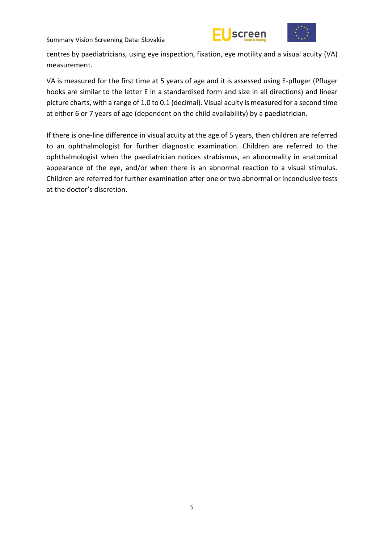



centres by paediatricians, using eye inspection, fixation, eye motility and a visual acuity (VA) measurement.

VA is measured for the first time at 5 years of age and it is assessed using E-pfluger (Pfluger hooks are similar to the letter E in a standardised form and size in all directions) and linear picture charts, with a range of 1.0 to 0.1 (decimal). Visual acuity is measured for a second time at either 6 or 7 years of age (dependent on the child availability) by a paediatrician.

If there is one-line difference in visual acuity at the age of 5 years, then children are referred to an ophthalmologist for further diagnostic examination. Children are referred to the ophthalmologist when the paediatrician notices strabismus, an abnormality in anatomical appearance of the eye, and/or when there is an abnormal reaction to a visual stimulus. Children are referred for further examination after one or two abnormal or inconclusive tests at the doctor's discretion.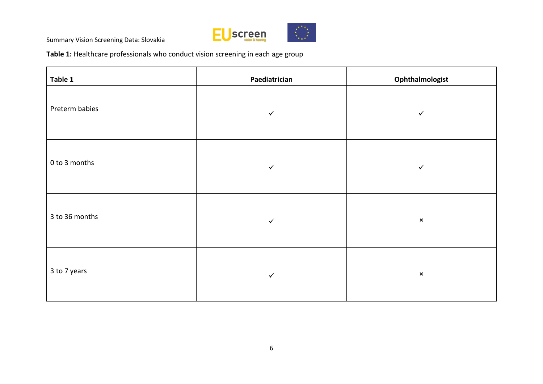

**Table 1:** Healthcare professionals who conduct vision screening in each age group

| Table 1        | Paediatrician | Ophthalmologist |
|----------------|---------------|-----------------|
| Preterm babies | $\checkmark$  | ✓               |
| 0 to 3 months  | $\checkmark$  | $\checkmark$    |
| 3 to 36 months | $\checkmark$  | $\pmb{\times}$  |
| 3 to 7 years   | $\checkmark$  | $\pmb{\times}$  |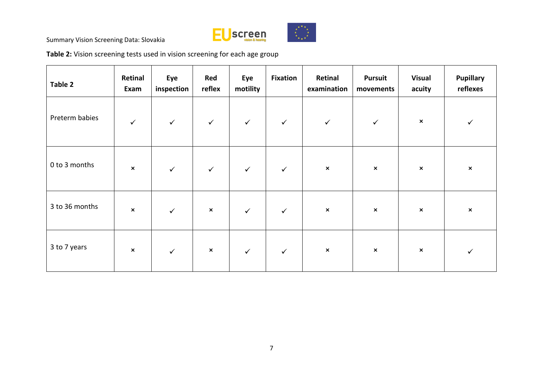

**Table 2:** Vision screening tests used in vision screening for each age group

| Table 2        | Retinal<br>Exam | Eye<br>inspection | Red<br>reflex  | Eye<br>motility | <b>Fixation</b> | Retinal<br>examination | <b>Pursuit</b><br>movements | <b>Visual</b><br>acuity | <b>Pupillary</b><br>reflexes |
|----------------|-----------------|-------------------|----------------|-----------------|-----------------|------------------------|-----------------------------|-------------------------|------------------------------|
| Preterm babies | $\checkmark$    | $\checkmark$      | $\checkmark$   | $\checkmark$    | $\checkmark$    | $\checkmark$           | $\checkmark$                | $\pmb{\times}$          | $\checkmark$                 |
| 0 to 3 months  | $\pmb{\times}$  | $\checkmark$      | $\checkmark$   | $\checkmark$    | $\checkmark$    | $\pmb{\times}$         | $\pmb{\times}$              | $\pmb{\times}$          | $\pmb{\times}$               |
| 3 to 36 months | $\pmb{\times}$  | $\checkmark$      | $\pmb{\times}$ | $\checkmark$    | $\checkmark$    | $\pmb{\times}$         | $\boldsymbol{\mathsf{x}}$   | $\pmb{\times}$          | $\pmb{\times}$               |
| 3 to 7 years   | $\pmb{\times}$  | $\checkmark$      | $\pmb{\times}$ | $\checkmark$    | $\checkmark$    | $\pmb{\times}$         | $\boldsymbol{\mathsf{x}}$   | $\pmb{\times}$          | ✓                            |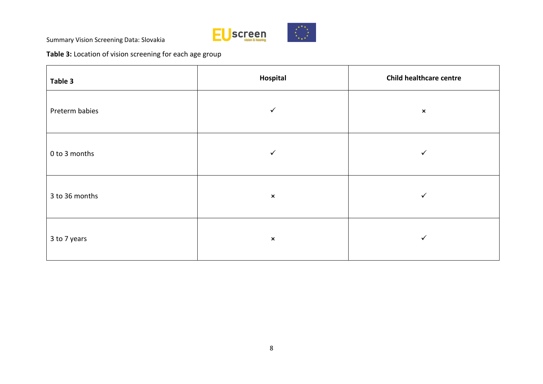

**Table 3:** Location of vision screening for each age group

| Table 3        | Hospital       | <b>Child healthcare centre</b> |
|----------------|----------------|--------------------------------|
| Preterm babies | $\checkmark$   | $\pmb{\times}$                 |
| 0 to 3 months  | $\checkmark$   | ✓                              |
| 3 to 36 months | $\pmb{\times}$ | $\checkmark$                   |
| 3 to 7 years   | $\pmb{\times}$ | $\checkmark$                   |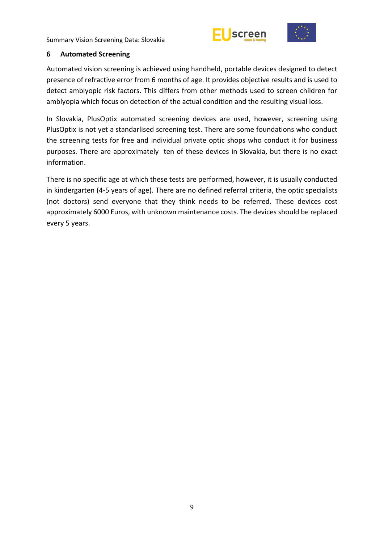



#### <span id="page-14-0"></span>**6 Automated Screening**

Automated vision screening is achieved using handheld, portable devices designed to detect presence of refractive error from 6 months of age. It provides objective results and is used to detect amblyopic risk factors. This differs from other methods used to screen children for amblyopia which focus on detection of the actual condition and the resulting visual loss.

In Slovakia, PlusOptix automated screening devices are used, however, screening using PlusOptix is not yet a standarlised screening test. There are some foundations who conduct the screening tests for free and individual private optic shops who conduct it for business purposes. There are approximately ten of these devices in Slovakia, but there is no exact information.

There is no specific age at which these tests are performed, however, it is usually conducted in kindergarten (4-5 years of age). There are no defined referral criteria, the optic specialists (not doctors) send everyone that they think needs to be referred. These devices cost approximately 6000 Euros, with unknown maintenance costs. The devices should be replaced every 5 years.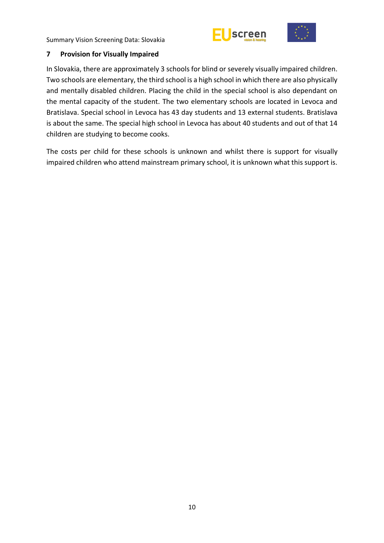



#### <span id="page-15-0"></span>**7 Provision for Visually Impaired**

In Slovakia, there are approximately 3 schools for blind or severely visually impaired children. Two schools are elementary, the third school is a high school in which there are also physically and mentally disabled children. Placing the child in the special school is also dependant on the mental capacity of the student. The two elementary schools are located in Levoca and Bratislava. Special school in Levoca has 43 day students and 13 external students. Bratislava is about the same. The special high school in Levoca has about 40 students and out of that 14 children are studying to become cooks.

The costs per child for these schools is unknown and whilst there is support for visually impaired children who attend mainstream primary school, it is unknown what this support is.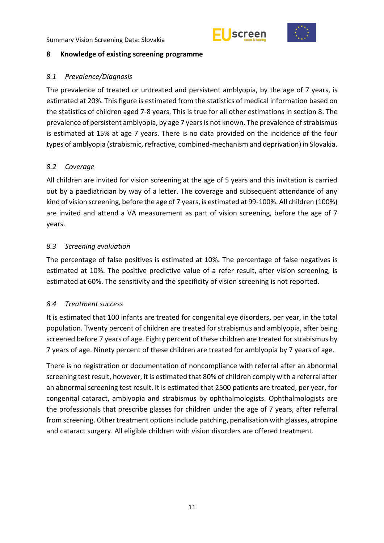



## <span id="page-16-0"></span>**8 Knowledge of existing screening programme**

## <span id="page-16-1"></span>*8.1 Prevalence/Diagnosis*

The prevalence of treated or untreated and persistent amblyopia, by the age of 7 years, is estimated at 20%. This figure is estimated from the statistics of medical information based on the statistics of children aged 7-8 years. This is true for all other estimations in section 8. The prevalence of persistent amblyopia, by age 7 years is not known. The prevalence of strabismus is estimated at 15% at age 7 years. There is no data provided on the incidence of the four types of amblyopia (strabismic, refractive, combined-mechanism and deprivation) in Slovakia.

## <span id="page-16-2"></span>*8.2 Coverage*

All children are invited for vision screening at the age of 5 years and this invitation is carried out by a paediatrician by way of a letter. The coverage and subsequent attendance of any kind of vision screening, before the age of 7 years, is estimated at 99-100%. All children (100%) are invited and attend a VA measurement as part of vision screening, before the age of 7 years.

## <span id="page-16-3"></span>*8.3 Screening evaluation*

The percentage of false positives is estimated at 10%. The percentage of false negatives is estimated at 10%. The positive predictive value of a refer result, after vision screening, is estimated at 60%. The sensitivity and the specificity of vision screening is not reported.

#### <span id="page-16-4"></span>*8.4 Treatment success*

It is estimated that 100 infants are treated for congenital eye disorders, per year, in the total population. Twenty percent of children are treated for strabismus and amblyopia, after being screened before 7 years of age. Eighty percent of these children are treated for strabismus by 7 years of age. Ninety percent of these children are treated for amblyopia by 7 years of age.

There is no registration or documentation of noncompliance with referral after an abnormal screening test result, however, it is estimated that 80% of children comply with a referral after an abnormal screening test result. It is estimated that 2500 patients are treated, per year, for congenital cataract, amblyopia and strabismus by ophthalmologists. Ophthalmologists are the professionals that prescribe glasses for children under the age of 7 years, after referral from screening. Other treatment options include patching, penalisation with glasses, atropine and cataract surgery. All eligible children with vision disorders are offered treatment.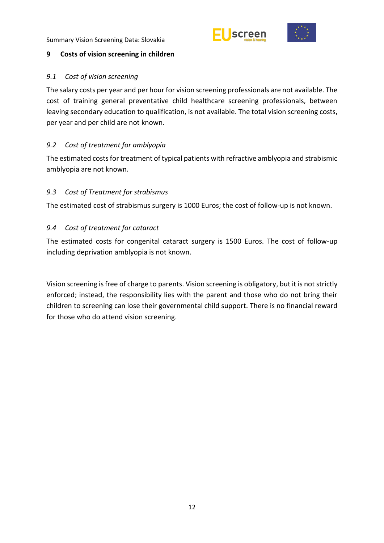



## <span id="page-17-0"></span>**9 Costs of vision screening in children**

## <span id="page-17-1"></span>*9.1 Cost of vision screening*

The salary costs per year and per hour for vision screening professionals are not available. The cost of training general preventative child healthcare screening professionals, between leaving secondary education to qualification, is not available. The total vision screening costs, per year and per child are not known.

# <span id="page-17-2"></span>*9.2 Cost of treatment for amblyopia*

The estimated costs for treatment of typical patients with refractive amblyopia and strabismic amblyopia are not known.

# <span id="page-17-3"></span>*9.3 Cost of Treatment for strabismus*

The estimated cost of strabismus surgery is 1000 Euros; the cost of follow-up is not known.

# <span id="page-17-4"></span>*9.4 Cost of treatment for cataract*

The estimated costs for congenital cataract surgery is 1500 Euros. The cost of follow-up including deprivation amblyopia is not known.

Vision screening is free of charge to parents. Vision screening is obligatory, but it is not strictly enforced; instead, the responsibility lies with the parent and those who do not bring their children to screening can lose their governmental child support. There is no financial reward for those who do attend vision screening.